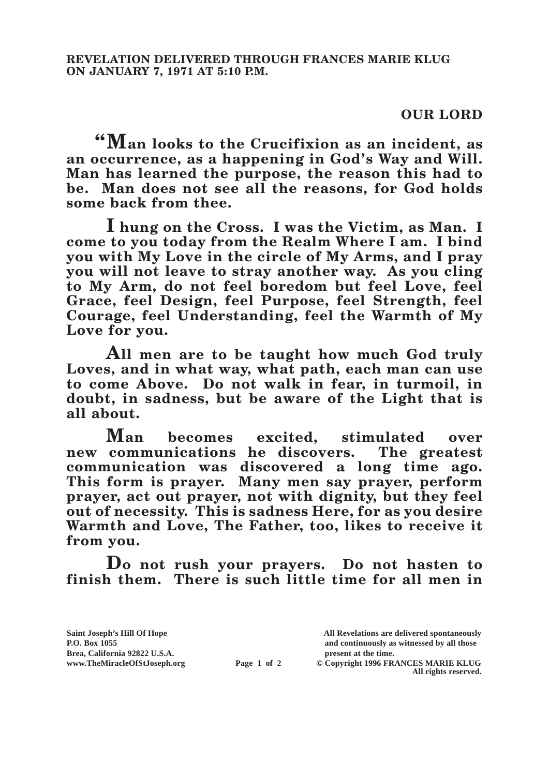## **OUR LORD**

**"Man looks to the Crucifixion as an incident, as an occurrence, as a happening in God's Way and Will. Man has learned the purpose, the reason this had to be. Man does not see all the reasons, for God holds some back from thee.**

**I hung on the Cross. I was the Victim, as Man. I come to you today from the Realm Where I am. I bind you with My Love in the circle of My Arms, and I pray you will not leave to stray another way. As you cling to My Arm, do not feel boredom but feel Love, feel Grace, feel Design, feel Purpose, feel Strength, feel Courage, feel Understanding, feel the Warmth of My Love for you.**

**All men are to be taught how much God truly Loves, and in what way, what path, each man can use to come Above. Do not walk in fear, in turmoil, in doubt, in sadness, but be aware of the Light that is all about.**

**Man becomes excited, stimulated over new communications he discovers. The greatest communication was discovered a long time ago. This form is prayer. Many men say prayer, perform prayer, act out prayer, not with dignity, but they feel out of necessity. This is sadness Here, for as you desire Warmth and Love, The Father, too, likes to receive it from you.**

**Do not rush your prayers. Do not hasten to finish them. There is such little time for all men in** 

**Saint Joseph's Hill Of Hope All Revelations are delivered spontaneously P.O. Box 1055 and continuously as witnessed by all those** 

**Page 1 of 2** © Copyright 1996 FRANCES MARIE KLUG **All rights reserved.**